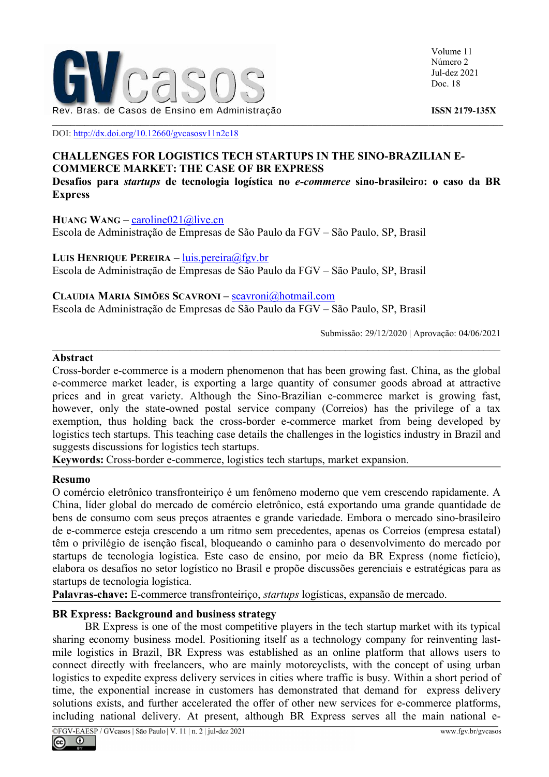

Volume 11 Número 2 Jul-dez 2021 Doc. 18

DOI: http://dx.doi.org/10.12660/gvcasosv11n2c18

# CHALLENGES FOR LOGISTICS TECH STARTUPS IN THE SINO-BRAZILIAN E-COMMERCE MARKET: THE CASE OF BR EXPRESS

Desafios para startups de tecnologia logística no e-commerce sino-brasileiro: o caso da BR Express

#### HUANG WANG – caroline $021$  @live.cn

Escola de Administração de Empresas de São Paulo da FGV – São Paulo, SP, Brasil

LUIS HENRIQUE PEREIRA – luis.pereira@fgv.br Escola de Administração de Empresas de São Paulo da FGV – São Paulo, SP, Brasil

CLAUDIA MARIA SIMÕES SCAVRONI – scavroni@hotmail.com Escola de Administração de Empresas de São Paulo da FGV – São Paulo, SP, Brasil

Submissão: 29/12/2020 | Aprovação: 04/06/2021

#### Abstract

Cross-border e-commerce is a modern phenomenon that has been growing fast. China, as the global e-commerce market leader, is exporting a large quantity of consumer goods abroad at attractive prices and in great variety. Although the Sino-Brazilian e-commerce market is growing fast, however, only the state-owned postal service company (Correios) has the privilege of a tax exemption, thus holding back the cross-border e-commerce market from being developed by logistics tech startups. This teaching case details the challenges in the logistics industry in Brazil and suggests discussions for logistics tech startups.

Keywords: Cross-border e-commerce, logistics tech startups, market expansion.

#### Resumo

O comércio eletrônico transfronteiriço é um fenômeno moderno que vem crescendo rapidamente. A China, líder global do mercado de comércio eletrônico, está exportando uma grande quantidade de bens de consumo com seus preços atraentes e grande variedade. Embora o mercado sino-brasileiro de e-commerce esteja crescendo a um ritmo sem precedentes, apenas os Correios (empresa estatal) têm o privilégio de isenção fiscal, bloqueando o caminho para o desenvolvimento do mercado por startups de tecnologia logística. Este caso de ensino, por meio da BR Express (nome fictício), elabora os desafios no setor logístico no Brasil e propõe discussões gerenciais e estratégicas para as startups de tecnologia logística.

Palavras-chave: E-commerce transfronteiriço, startups logísticas, expansão de mercado.

# BR Express: Background and business strategy

BR Express is one of the most competitive players in the tech startup market with its typical sharing economy business model. Positioning itself as a technology company for reinventing lastmile logistics in Brazil, BR Express was established as an online platform that allows users to connect directly with freelancers, who are mainly motorcyclists, with the concept of using urban logistics to expedite express delivery services in cities where traffic is busy. Within a short period of time, the exponential increase in customers has demonstrated that demand for express delivery solutions exists, and further accelerated the offer of other new services for e-commerce platforms, including national delivery. At present, although BR Express serves all the main national e-

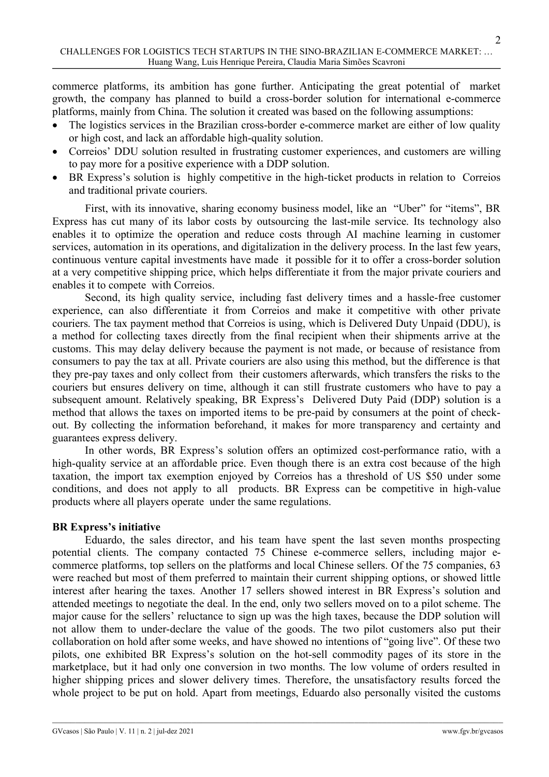commerce platforms, its ambition has gone further. Anticipating the great potential of market growth, the company has planned to build a cross-border solution for international e-commerce platforms, mainly from China. The solution it created was based on the following assumptions:

- The logistics services in the Brazilian cross-border e-commerce market are either of low quality or high cost, and lack an affordable high-quality solution.
- Correios' DDU solution resulted in frustrating customer experiences, and customers are willing to pay more for a positive experience with a DDP solution.
- BR Express's solution is highly competitive in the high-ticket products in relation to Correios and traditional private couriers.

First, with its innovative, sharing economy business model, like an "Uber" for "items", BR Express has cut many of its labor costs by outsourcing the last-mile service. Its technology also enables it to optimize the operation and reduce costs through AI machine learning in customer services, automation in its operations, and digitalization in the delivery process. In the last few years, continuous venture capital investments have made it possible for it to offer a cross-border solution at a very competitive shipping price, which helps differentiate it from the major private couriers and enables it to compete with Correios.

Second, its high quality service, including fast delivery times and a hassle-free customer experience, can also differentiate it from Correios and make it competitive with other private couriers. The tax payment method that Correios is using, which is Delivered Duty Unpaid (DDU), is a method for collecting taxes directly from the final recipient when their shipments arrive at the customs. This may delay delivery because the payment is not made, or because of resistance from consumers to pay the tax at all. Private couriers are also using this method, but the difference is that they pre-pay taxes and only collect from their customers afterwards, which transfers the risks to the couriers but ensures delivery on time, although it can still frustrate customers who have to pay a subsequent amount. Relatively speaking, BR Express's Delivered Duty Paid (DDP) solution is a method that allows the taxes on imported items to be pre-paid by consumers at the point of checkout. By collecting the information beforehand, it makes for more transparency and certainty and guarantees express delivery.

In other words, BR Express's solution offers an optimized cost-performance ratio, with a high-quality service at an affordable price. Even though there is an extra cost because of the high taxation, the import tax exemption enjoyed by Correios has a threshold of US \$50 under some conditions, and does not apply to all products. BR Express can be competitive in high-value products where all players operate under the same regulations.

# BR Express's initiative

Eduardo, the sales director, and his team have spent the last seven months prospecting potential clients. The company contacted 75 Chinese e-commerce sellers, including major ecommerce platforms, top sellers on the platforms and local Chinese sellers. Of the 75 companies, 63 were reached but most of them preferred to maintain their current shipping options, or showed little interest after hearing the taxes. Another 17 sellers showed interest in BR Express's solution and attended meetings to negotiate the deal. In the end, only two sellers moved on to a pilot scheme. The major cause for the sellers' reluctance to sign up was the high taxes, because the DDP solution will not allow them to under-declare the value of the goods. The two pilot customers also put their collaboration on hold after some weeks, and have showed no intentions of "going live". Of these two pilots, one exhibited BR Express's solution on the hot-sell commodity pages of its store in the marketplace, but it had only one conversion in two months. The low volume of orders resulted in higher shipping prices and slower delivery times. Therefore, the unsatisfactory results forced the whole project to be put on hold. Apart from meetings, Eduardo also personally visited the customs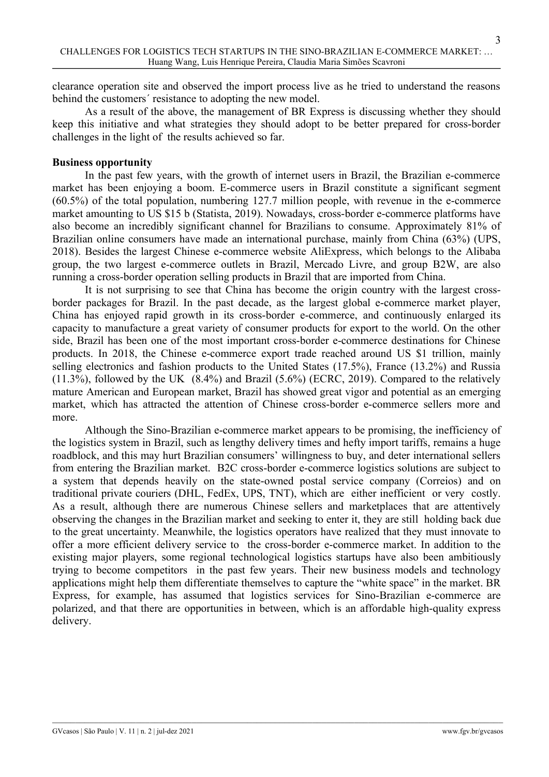clearance operation site and observed the import process live as he tried to understand the reasons behind the customers´ resistance to adopting the new model.

As a result of the above, the management of BR Express is discussing whether they should keep this initiative and what strategies they should adopt to be better prepared for cross-border challenges in the light of the results achieved so far.

# Business opportunity

In the past few years, with the growth of internet users in Brazil, the Brazilian e-commerce market has been enjoying a boom. E-commerce users in Brazil constitute a significant segment (60.5%) of the total population, numbering 127.7 million people, with revenue in the e-commerce market amounting to US \$15 b (Statista, 2019). Nowadays, cross-border e-commerce platforms have also become an incredibly significant channel for Brazilians to consume. Approximately 81% of Brazilian online consumers have made an international purchase, mainly from China (63%) (UPS, 2018). Besides the largest Chinese e-commerce website AliExpress, which belongs to the Alibaba group, the two largest e-commerce outlets in Brazil, Mercado Livre, and group B2W, are also running a cross-border operation selling products in Brazil that are imported from China.

It is not surprising to see that China has become the origin country with the largest crossborder packages for Brazil. In the past decade, as the largest global e-commerce market player, China has enjoyed rapid growth in its cross-border e-commerce, and continuously enlarged its capacity to manufacture a great variety of consumer products for export to the world. On the other side, Brazil has been one of the most important cross-border e-commerce destinations for Chinese products. In 2018, the Chinese e-commerce export trade reached around US \$1 trillion, mainly selling electronics and fashion products to the United States (17.5%), France (13.2%) and Russia (11.3%), followed by the UK (8.4%) and Brazil (5.6%) (ECRC, 2019). Compared to the relatively mature American and European market, Brazil has showed great vigor and potential as an emerging market, which has attracted the attention of Chinese cross-border e-commerce sellers more and more.

Although the Sino-Brazilian e-commerce market appears to be promising, the inefficiency of the logistics system in Brazil, such as lengthy delivery times and hefty import tariffs, remains a huge roadblock, and this may hurt Brazilian consumers' willingness to buy, and deter international sellers from entering the Brazilian market. B2C cross-border e-commerce logistics solutions are subject to a system that depends heavily on the state-owned postal service company (Correios) and on traditional private couriers (DHL, FedEx, UPS, TNT), which are either inefficient or very costly. As a result, although there are numerous Chinese sellers and marketplaces that are attentively observing the changes in the Brazilian market and seeking to enter it, they are still holding back due to the great uncertainty. Meanwhile, the logistics operators have realized that they must innovate to offer a more efficient delivery service to the cross-border e-commerce market. In addition to the existing major players, some regional technological logistics startups have also been ambitiously trying to become competitors in the past few years. Their new business models and technology applications might help them differentiate themselves to capture the "white space" in the market. BR Express, for example, has assumed that logistics services for Sino-Brazilian e-commerce are polarized, and that there are opportunities in between, which is an affordable high-quality express delivery.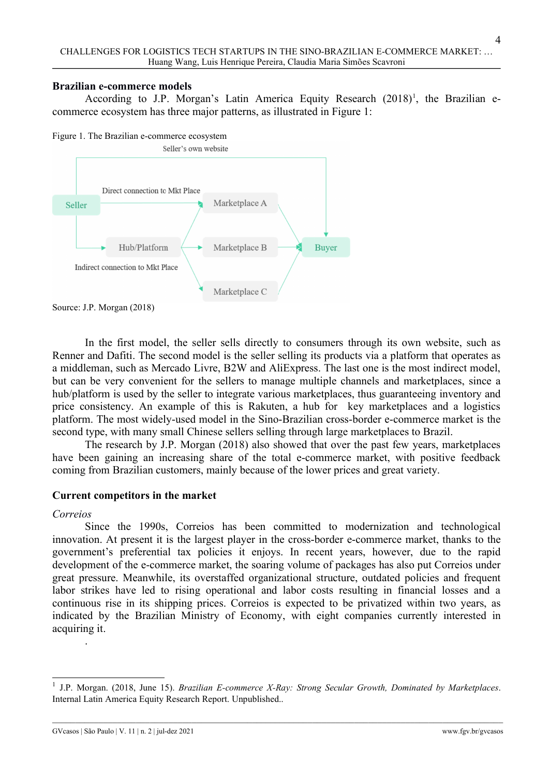#### Brazilian e-commerce models

According to J.P. Morgan's Latin America Equity Research (2018)<sup>1</sup>, the Brazilian ecommerce ecosystem has three major patterns, as illustrated in Figure 1:

Figure 1. The Brazilian e-commerce ecosystem



In the first model, the seller sells directly to consumers through its own website, such as Renner and Dafiti. The second model is the seller selling its products via a platform that operates as a middleman, such as Mercado Livre, B2W and AliExpress. The last one is the most indirect model, but can be very convenient for the sellers to manage multiple channels and marketplaces, since a hub/platform is used by the seller to integrate various marketplaces, thus guaranteeing inventory and price consistency. An example of this is Rakuten, a hub for key marketplaces and a logistics platform. The most widely-used model in the Sino-Brazilian cross-border e-commerce market is the second type, with many small Chinese sellers selling through large marketplaces to Brazil.

The research by J.P. Morgan (2018) also showed that over the past few years, marketplaces have been gaining an increasing share of the total e-commerce market, with positive feedback coming from Brazilian customers, mainly because of the lower prices and great variety.

# Current competitors in the market

#### Correios

.

Since the 1990s, Correios has been committed to modernization and technological innovation. At present it is the largest player in the cross-border e-commerce market, thanks to the government's preferential tax policies it enjoys. In recent years, however, due to the rapid development of the e-commerce market, the soaring volume of packages has also put Correios under great pressure. Meanwhile, its overstaffed organizational structure, outdated policies and frequent labor strikes have led to rising operational and labor costs resulting in financial losses and a continuous rise in its shipping prices. Correios is expected to be privatized within two years, as indicated by the Brazilian Ministry of Economy, with eight companies currently interested in acquiring it.

<sup>&</sup>lt;sup>1</sup> J.P. Morgan. (2018, June 15). Brazilian E-commerce X-Ray: Strong Secular Growth, Dominated by Marketplaces. Internal Latin America Equity Research Report. Unpublished..